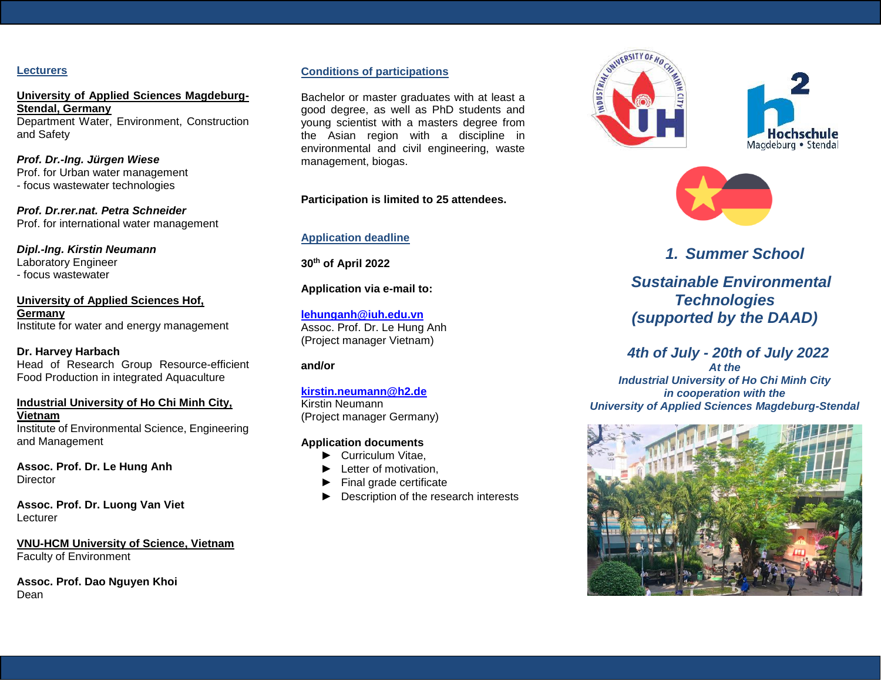#### **Lecturers**

**University of Applied Sciences Magdeburg-Stendal, Germany** Department Water, Environment, Construction and Safety

*Prof. Dr.-Ing. Jürgen Wiese* Prof. for Urban water management - focus wastewater technologies

*Prof. Dr.rer.nat. Petra Schneider* Prof. for international water management

*Dipl.-Ing. Kirstin Neumann* Laboratory Engineer - focus wastewater

**University of Applied Sciences Hof, Germany**  Institute for water and energy management

**Dr. Harvey Harbach** Head of Research Group Resource-efficient Food Production in integrated Aquaculture

#### **Industrial University of Ho Chi Minh City, Vietnam** Institute of Environmental Science, Engineering

and Management

**Assoc. Prof. Dr. Le Hung Anh Director** 

**Assoc. Prof. Dr. Luong Van Viet** Lecturer

**VNU-HCM University of Science, Vietnam** Faculty of Environment

**Assoc. Prof. Dao Nguyen Khoi** Dean

## **Conditions of participations**

Bachelor or master graduates with at least a good degree, as well as PhD students and young scientist with a masters degree from the Asian region with a discipline in environmental and civil engineering, waste management, biogas.

## **Participation is limited to 25 attendees.**

## **Application deadline**

**30th of April 2022**

#### **Application via e-mail to:**

**[lehunganh@iuh.edu.vn](mailto:lehunganh@iuh.edu.vn)** Assoc. Prof. Dr. Le Hung Anh (Project manager Vietnam)

## **and/or**

#### **[kirstin.neumann@h2.de](mailto:kirstin.neumann@h2.de)** Kirstin Neumann (Project manager Germany)

**Application documents**

- ► Curriculum Vitae,
- ► Letter of motivation,
- ► Final grade certificate
- ► Description of the research interests







## *1. Summer School*

 *Sustainable Environmental Technologies (supported by the DAAD)*

# *4th of July - 20th of July 2022*

*At the Industrial University of Ho Chi Minh City in cooperation with the University of Applied Sciences Magdeburg-Stendal*